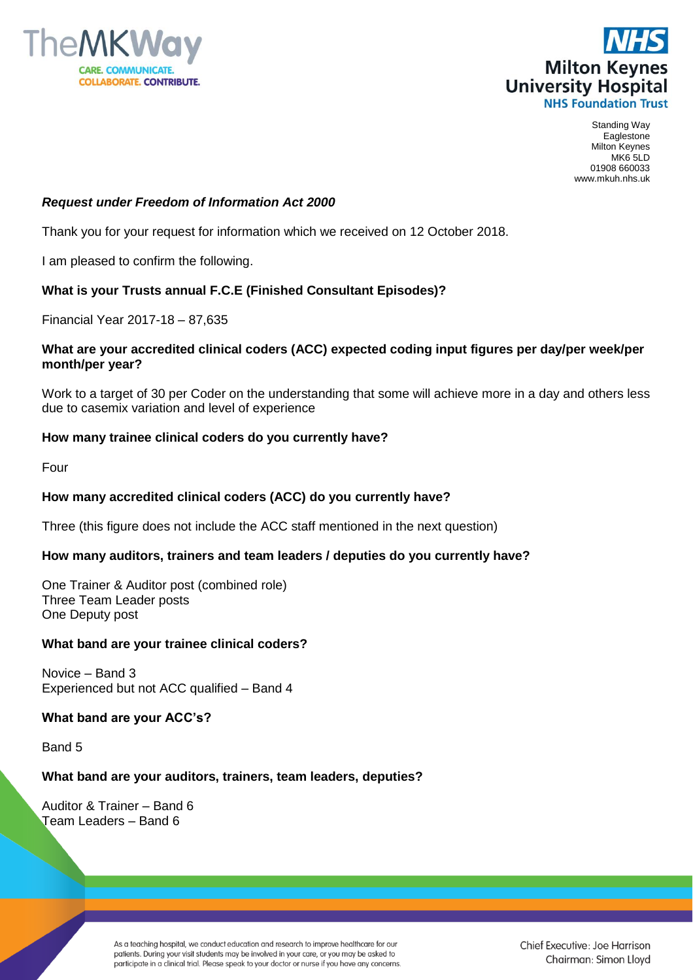



Standing Way Eaglestone Milton Keynes MK6 5LD 01908 660033 www.mkuh.nhs.uk

## *Request under Freedom of Information Act 2000*

Thank you for your request for information which we received on 12 October 2018.

I am pleased to confirm the following.

# **What is your Trusts annual F.C.E (Finished Consultant Episodes)?**

Financial Year 2017-18 – 87,635

#### **What are your accredited clinical coders (ACC) expected coding input figures per day/per week/per month/per year?**

Work to a target of 30 per Coder on the understanding that some will achieve more in a day and others less due to casemix variation and level of experience

## **How many trainee clinical coders do you currently have?**

Four

## **How many accredited clinical coders (ACC) do you currently have?**

Three (this figure does not include the ACC staff mentioned in the next question)

## **How many auditors, trainers and team leaders / deputies do you currently have?**

One Trainer & Auditor post (combined role) Three Team Leader posts One Deputy post

#### **What band are your trainee clinical coders?**

Novice – Band 3 Experienced but not ACC qualified – Band 4

#### **What band are your ACC's?**

Band 5

## **What band are your auditors, trainers, team leaders, deputies?**

Auditor & Trainer – Band 6 Team Leaders – Band 6

> As a teaching hospital, we conduct education and research to improve healthcare for our patients. During your visit students may be involved in your care, or you may be asked to participate in a clinical trial. Please speak to your doctor or nurse if you have any concerns.